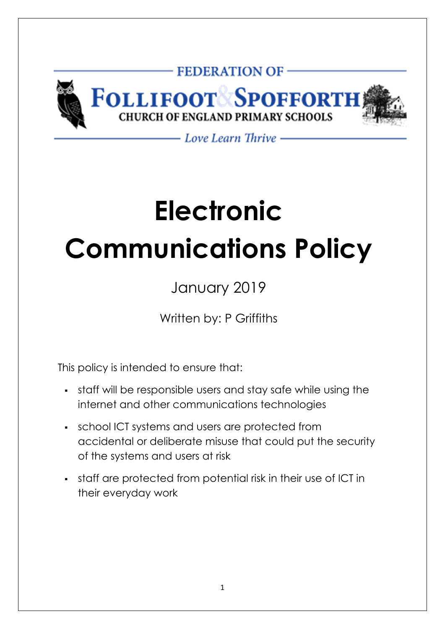

- Love Learn Thrive -

# **Electronic Communications Policy**

January 2019

Written by: P Griffiths

This policy is intended to ensure that:

- staff will be responsible users and stay safe while using the internet and other communications technologies
- school ICT systems and users are protected from accidental or deliberate misuse that could put the security of the systems and users at risk
- staff are protected from potential risk in their use of ICT in their everyday work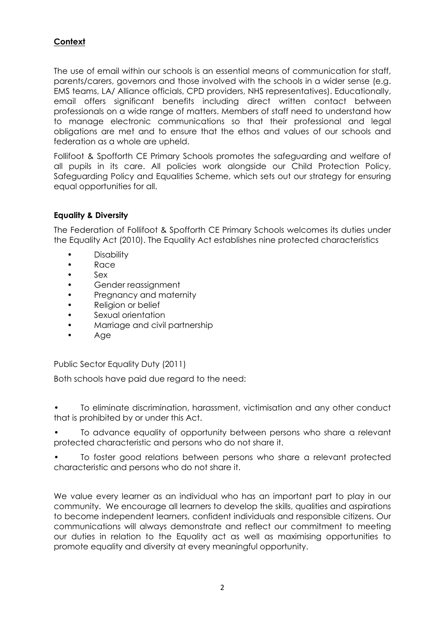# **Context**

The use of email within our schools is an essential means of communication for staff, parents/carers, governors and those involved with the schools in a wider sense (e.g. EMS teams, LA/ Alliance officials, CPD providers, NHS representatives). Educationally, email offers significant benefits including direct written contact between professionals on a wide range of matters. Members of staff need to understand how to manage electronic communications so that their professional and legal obligations are met and to ensure that the ethos and values of our schools and federation as a whole are upheld.

Follifoot & Spofforth CE Primary Schools promotes the safeguarding and welfare of all pupils in its care. All policies work alongside our Child Protection Policy, Safeguarding Policy and Equalities Scheme, which sets out our strategy for ensuring equal opportunities for all.

#### **Equality & Diversity**

The Federation of Follifoot & Spofforth CE Primary Schools welcomes its duties under the Equality Act (2010). The Equality Act establishes nine protected characteristics

- Disability
- Race
- Sex
- Gender reassignment
- Pregnancy and maternity
- Religion or belief
- Sexual orientation
- Marriage and civil partnership
- Age

Public Sector Equality Duty (2011)

Both schools have paid due regard to the need:

• To eliminate discrimination, harassment, victimisation and any other conduct that is prohibited by or under this Act.

• To advance equality of opportunity between persons who share a relevant protected characteristic and persons who do not share it.

• To foster good relations between persons who share a relevant protected characteristic and persons who do not share it.

We value every learner as an individual who has an important part to play in our community. We encourage all learners to develop the skills, qualities and aspirations to become independent learners, confident individuals and responsible citizens. Our communications will always demonstrate and reflect our commitment to meeting our duties in relation to the Equality act as well as maximising opportunities to promote equality and diversity at every meaningful opportunity.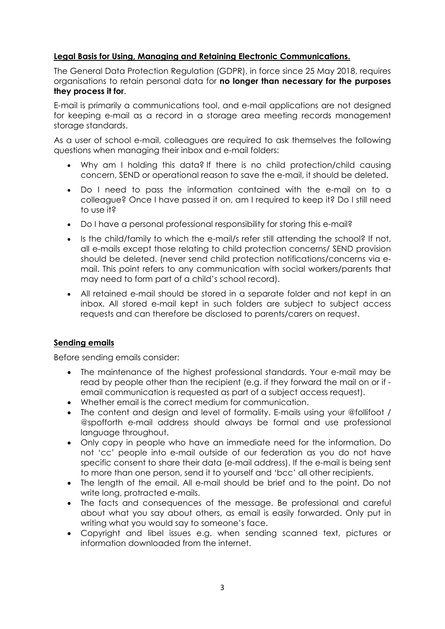## **Legal Basis for Using, Managing and Retaining Electronic Communications.**

The General Data Protection Regulation (GDPR), in force since 25 May 2018, requires organisations to retain personal data for **no longer than necessary for the purposes they process it for**.

E-mail is primarily a communications tool, and e-mail applications are not designed for keeping e-mail as a record in a storage area meeting records management storage standards.

As a user of school e-mail, colleagues are required to ask themselves the following questions when managing their inbox and e-mail folders:

- Why am I holding this data? If there is no child protection/child causing concern, SEND or operational reason to save the e-mail, it should be deleted.
- Do I need to pass the information contained with the e-mail on to a colleague? Once I have passed it on, am I required to keep it? Do I still need to use it?
- Do I have a personal professional responsibility for storing this e-mail?
- Is the child/family to which the e-mail/s refer still attending the school? If not, all e-mails except those relating to child protection concerns/ SEND provision should be deleted. (never send child protection notifications/concerns via email. This point refers to any communication with social workers/parents that may need to form part of a child's school record).
- All retained e-mail should be stored in a separate folder and not kept in an inbox. All stored e-mail kept in such folders are subject to subject access requests and can therefore be disclosed to parents/carers on request.

#### **Sending emails**

Before sending emails consider:

- The maintenance of the highest professional standards. Your e-mail may be read by people other than the recipient (e.g. if they forward the mail on or if email communication is requested as part of a subject access request).
- Whether email is the correct medium for communication.
- The content and design and level of formality. E-mails using your @follifoot / @spofforth e-mail address should always be formal and use professional language throughout.
- Only copy in people who have an immediate need for the information. Do not 'cc' people into e-mail outside of our federation as you do not have specific consent to share their data (e-mail address). If the e-mail is being sent to more than one person, send it to yourself and 'bcc' all other recipients.
- The length of the email. All e-mail should be brief and to the point. Do not write long, protracted e-mails.
- The facts and consequences of the message. Be professional and careful about what you say about others, as email is easily forwarded. Only put in writing what you would say to someone's face.
- Copyright and libel issues e.g. when sending scanned text, pictures or information downloaded from the internet.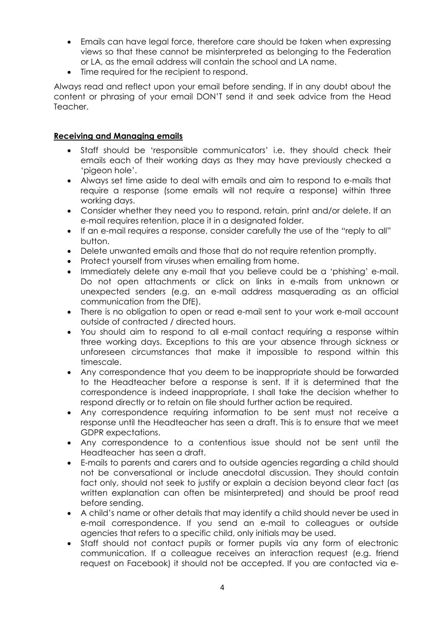- Emails can have legal force, therefore care should be taken when expressing views so that these cannot be misinterpreted as belonging to the Federation or LA, as the email address will contain the school and LA name.
- Time required for the recipient to respond.

Always read and reflect upon your email before sending. If in any doubt about the content or phrasing of your email DON'T send it and seek advice from the Head Teacher.

#### **Receiving and Managing emails**

- Staff should be 'responsible communicators' i.e. they should check their emails each of their working days as they may have previously checked a 'pigeon hole'.
- Always set time aside to deal with emails and aim to respond to e-mails that require a response (some emails will not require a response) within three working days.
- Consider whether they need you to respond, retain, print and/or delete. If an e-mail requires retention, place it in a designated folder.
- If an e-mail requires a response, consider carefully the use of the "reply to all" button.
- Delete unwanted emails and those that do not require retention promptly.
- Protect yourself from viruses when emailing from home.
- Immediately delete any e-mail that you believe could be a 'phishing' e-mail. Do not open attachments or click on links in e-mails from unknown or unexpected senders (e.g. an e-mail address masquerading as an official communication from the DfE).
- There is no obligation to open or read e-mail sent to your work e-mail account outside of contracted / directed hours.
- You should aim to respond to all e-mail contact requiring a response within three working days. Exceptions to this are your absence through sickness or unforeseen circumstances that make it impossible to respond within this timescale.
- Any correspondence that you deem to be inappropriate should be forwarded to the Headteacher before a response is sent. If it is determined that the correspondence is indeed inappropriate, I shall take the decision whether to respond directly or to retain on file should further action be required.
- Any correspondence requiring information to be sent must not receive a response until the Headteacher has seen a draft. This is to ensure that we meet GDPR expectations.
- Any correspondence to a contentious issue should not be sent until the Headteacher has seen a draft.
- E-mails to parents and carers and to outside agencies regarding a child should not be conversational or include anecdotal discussion. They should contain fact only, should not seek to justify or explain a decision beyond clear fact (as written explanation can often be misinterpreted) and should be proof read before sending.
- A child's name or other details that may identify a child should never be used in e-mail correspondence. If you send an e-mail to colleagues or outside agencies that refers to a specific child, only initials may be used.
- Staff should not contact pupils or former pupils via any form of electronic communication. If a colleague receives an interaction request (e.g. friend request on Facebook) it should not be accepted. If you are contacted via e-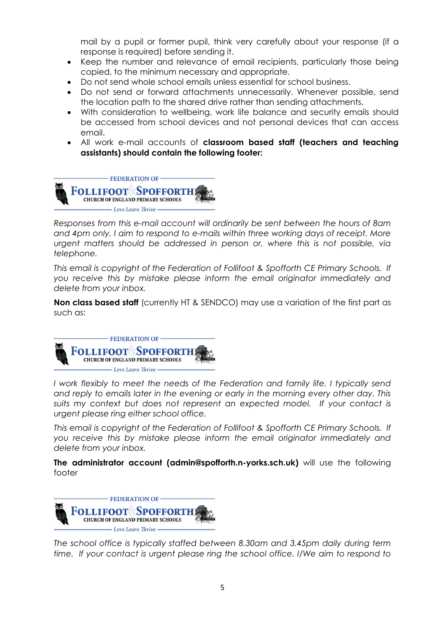mail by a pupil or former pupil, think very carefully about your response (if a response is required) before sending it.

- Keep the number and relevance of email recipients, particularly those being copied, to the minimum necessary and appropriate.
- Do not send whole school emails unless essential for school business.
- Do not send or forward attachments unnecessarily. Whenever possible, send the location path to the shared drive rather than sending attachments.
- With consideration to wellbeing, work life balance and security emails should be accessed from school devices and not personal devices that can access email.
- All work e-mail accounts of **classroom based staff (teachers and teaching assistants) should contain the following footer:**



*Responses from this e-mail account will ordinarily be sent between the hours of 8am and 4pm only. I aim to respond to e-mails within three working days of receipt. More*  urgent matters should be addressed in person or, where this is not possible, via *telephone.* 

*This email is copyright of the Federation of Follifoot & Spofforth CE Primary Schools. If you receive this by mistake please inform the email originator immediately and delete from your inbox.* 

**Non class based staff** (currently HT & SENDCO) may use a variation of the first part as such as:



*I* work flexibly to meet the needs of the Federation and family life. I typically send *and reply to emails later in the evening or early in the morning every other day. This suits my context but does not represent an expected model. If your contact is urgent please ring either school office.* 

*This email is copyright of the Federation of Follifoot & Spofforth CE Primary Schools. If you receive this by mistake please inform the email originator immediately and delete from your inbox.* 

**The administrator account (admin@spofforth.n-yorks.sch.uk)** will use the following footer



*The school office is typically staffed between 8.30am and 3.45pm daily during term time. If your contact is urgent please ring the school office. I/We aim to respond to*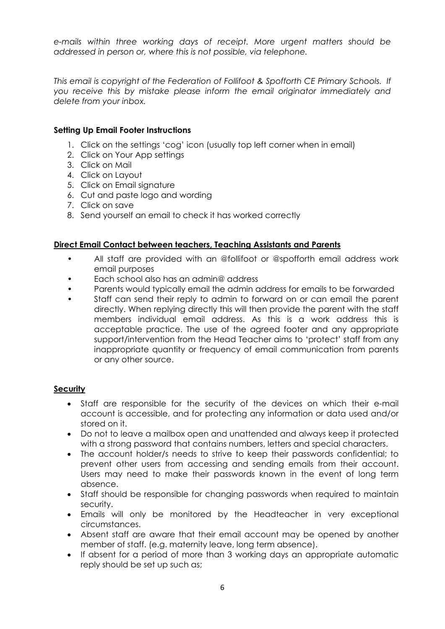*e-mails within three working days of receipt. More urgent matters should be addressed in person or, where this is not possible, via telephone.* 

*This email is copyright of the Federation of Follifoot & Spofforth CE Primary Schools. If you receive this by mistake please inform the email originator immediately and delete from your inbox.* 

#### **Setting Up Email Footer Instructions**

- 1. Click on the settings 'cog' icon (usually top left corner when in email)
- 2. Click on Your App settings
- 3. Click on Mail
- 4. Click on Layout
- 5. Click on Email signature
- 6. Cut and paste logo and wording
- 7. Click on save
- 8. Send yourself an email to check it has worked correctly

#### **Direct Email Contact between teachers, Teaching Assistants and Parents**

- All staff are provided with an @follifoot or @spofforth email address work email purposes
- Each school also has an admin@ address
- Parents would typically email the admin address for emails to be forwarded
- Staff can send their reply to admin to forward on or can email the parent directly. When replying directly this will then provide the parent with the staff members individual email address. As this is a work address this is acceptable practice. The use of the agreed footer and any appropriate support/intervention from the Head Teacher aims to 'protect' staff from any inappropriate quantity or frequency of email communication from parents or any other source.

#### **Security**

- Staff are responsible for the security of the devices on which their e-mail account is accessible, and for protecting any information or data used and/or stored on it.
- Do not to leave a mailbox open and unattended and always keep it protected with a strong password that contains numbers, letters and special characters.
- The account holder/s needs to strive to keep their passwords confidential; to prevent other users from accessing and sending emails from their account. Users may need to make their passwords known in the event of long term absence.
- Staff should be responsible for changing passwords when required to maintain security.
- Emails will only be monitored by the Headteacher in very exceptional circumstances.
- Absent staff are aware that their email account may be opened by another member of staff. (e.g. maternity leave, long term absence).
- If absent for a period of more than 3 working days an appropriate automatic reply should be set up such as;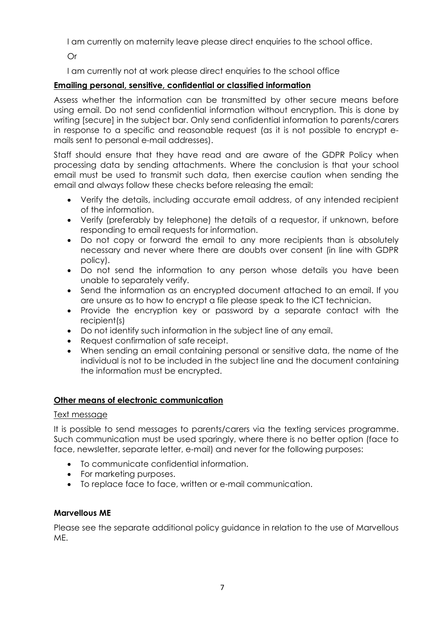I am currently on maternity leave please direct enquiries to the school office.

Or

I am currently not at work please direct enquiries to the school office

## **Emailing personal, sensitive, confidential or classified information**

Assess whether the information can be transmitted by other secure means before using email. Do not send confidential information without encryption. This is done by writing [secure] in the subject bar. Only send confidential information to parents/carers in response to a specific and reasonable request (as it is not possible to encrypt emails sent to personal e-mail addresses).

Staff should ensure that they have read and are aware of the GDPR Policy when processing data by sending attachments. Where the conclusion is that your school email must be used to transmit such data, then exercise caution when sending the email and always follow these checks before releasing the email:

- Verify the details, including accurate email address, of any intended recipient of the information.
- Verify (preferably by telephone) the details of a requestor, if unknown, before responding to email requests for information.
- Do not copy or forward the email to any more recipients than is absolutely necessary and never where there are doubts over consent (in line with GDPR policy).
- Do not send the information to any person whose details you have been unable to separately verify.
- Send the information as an encrypted document attached to an email. If you are unsure as to how to encrypt a file please speak to the ICT technician.
- Provide the encryption key or password by a separate contact with the recipient(s)
- Do not identify such information in the subject line of any email.
- Request confirmation of safe receipt.
- When sending an email containing personal or sensitive data, the name of the individual is not to be included in the subject line and the document containing the information must be encrypted.

#### **Other means of electronic communication**

#### Text message

It is possible to send messages to parents/carers via the texting services programme. Such communication must be used sparingly, where there is no better option (face to face, newsletter, separate letter, e-mail) and never for the following purposes:

- To communicate confidential information.
- For marketing purposes.
- To replace face to face, written or e-mail communication.

#### **Marvellous ME**

Please see the separate additional policy guidance in relation to the use of Marvellous ME.